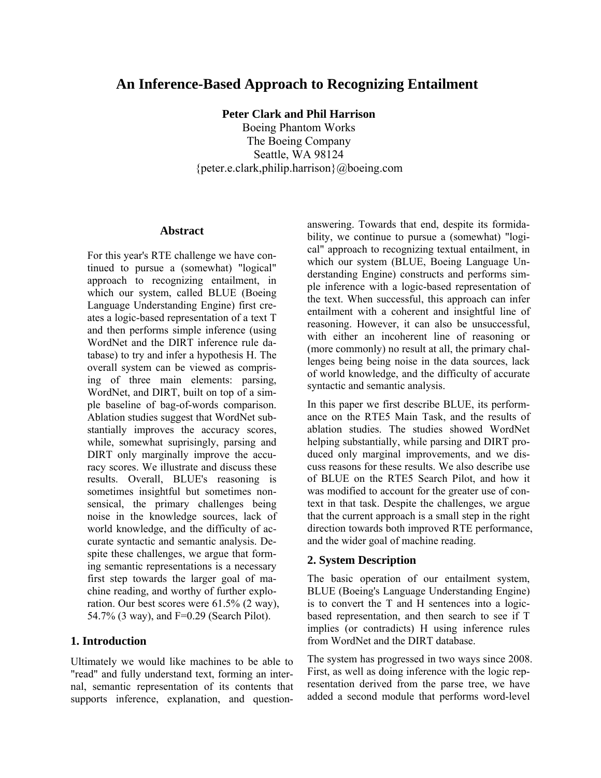# **An Inference-Based Approach to Recognizing Entailment**

**Peter Clark and Phil Harrison** 

Boeing Phantom Works The Boeing Company Seattle, WA 98124 {peter.e.clark,philip.harrison}@boeing.com

#### **Abstract**

For this year's RTE challenge we have continued to pursue a (somewhat) "logical" approach to recognizing entailment, in which our system, called BLUE (Boeing Language Understanding Engine) first creates a logic-based representation of a text T and then performs simple inference (using WordNet and the DIRT inference rule database) to try and infer a hypothesis H. The overall system can be viewed as comprising of three main elements: parsing, WordNet, and DIRT, built on top of a simple baseline of bag-of-words comparison. Ablation studies suggest that WordNet substantially improves the accuracy scores, while, somewhat suprisingly, parsing and DIRT only marginally improve the accuracy scores. We illustrate and discuss these results. Overall, BLUE's reasoning is sometimes insightful but sometimes nonsensical, the primary challenges being noise in the knowledge sources, lack of world knowledge, and the difficulty of accurate syntactic and semantic analysis. Despite these challenges, we argue that forming semantic representations is a necessary first step towards the larger goal of machine reading, and worthy of further exploration. Our best scores were 61.5% (2 way), 54.7% (3 way), and F=0.29 (Search Pilot).

#### **1. Introduction**

Ultimately we would like machines to be able to "read" and fully understand text, forming an internal, semantic representation of its contents that supports inference, explanation, and questionanswering. Towards that end, despite its formidability, we continue to pursue a (somewhat) "logical" approach to recognizing textual entailment, in which our system (BLUE, Boeing Language Understanding Engine) constructs and performs simple inference with a logic-based representation of the text. When successful, this approach can infer entailment with a coherent and insightful line of reasoning. However, it can also be unsuccessful, with either an incoherent line of reasoning or (more commonly) no result at all, the primary challenges being being noise in the data sources, lack of world knowledge, and the difficulty of accurate syntactic and semantic analysis.

In this paper we first describe BLUE, its performance on the RTE5 Main Task, and the results of ablation studies. The studies showed WordNet helping substantially, while parsing and DIRT produced only marginal improvements, and we discuss reasons for these results. We also describe use of BLUE on the RTE5 Search Pilot, and how it was modified to account for the greater use of context in that task. Despite the challenges, we argue that the current approach is a small step in the right direction towards both improved RTE performance, and the wider goal of machine reading.

#### **2. System Description**

The basic operation of our entailment system, BLUE (Boeing's Language Understanding Engine) is to convert the T and H sentences into a logicbased representation, and then search to see if T implies (or contradicts) H using inference rules from WordNet and the DIRT database.

The system has progressed in two ways since 2008. First, as well as doing inference with the logic representation derived from the parse tree, we have added a second module that performs word-level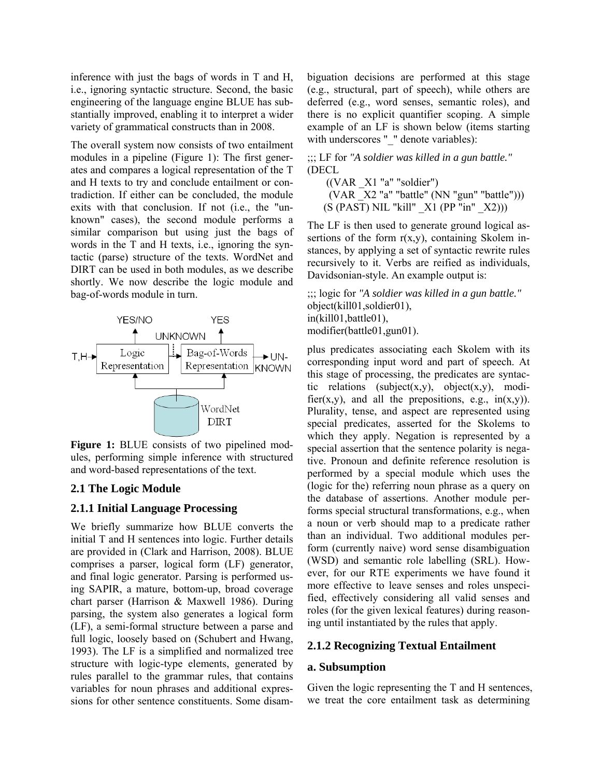inference with just the bags of words in T and H, i.e., ignoring syntactic structure. Second, the basic engineering of the language engine BLUE has substantially improved, enabling it to interpret a wider variety of grammatical constructs than in 2008.

The overall system now consists of two entailment modules in a pipeline (Figure 1): The first generates and compares a logical representation of the T and H texts to try and conclude entailment or contradiction. If either can be concluded, the module exits with that conclusion. If not (i.e., the "unknown" cases), the second module performs a similar comparison but using just the bags of words in the T and H texts, i.e., ignoring the syntactic (parse) structure of the texts. WordNet and DIRT can be used in both modules, as we describe shortly. We now describe the logic module and bag-of-words module in turn.



**Figure 1:** BLUE consists of two pipelined modules, performing simple inference with structured and word-based representations of the text.

#### **2.1 The Logic Module**

#### **2.1.1 Initial Language Processing**

We briefly summarize how BLUE converts the initial T and H sentences into logic. Further details are provided in (Clark and Harrison, 2008). BLUE comprises a parser, logical form (LF) generator, and final logic generator. Parsing is performed using SAPIR, a mature, bottom-up, broad coverage chart parser (Harrison & Maxwell 1986). During parsing, the system also generates a logical form (LF), a semi-formal structure between a parse and full logic, loosely based on (Schubert and Hwang, 1993). The LF is a simplified and normalized tree structure with logic-type elements, generated by rules parallel to the grammar rules, that contains variables for noun phrases and additional expressions for other sentence constituents. Some disambiguation decisions are performed at this stage (e.g., structural, part of speech), while others are deferred (e.g., word senses, semantic roles), and there is no explicit quantifier scoping. A simple example of an LF is shown below (items starting with underscores "\_" denote variables):

;;; LF for *"A soldier was killed in a gun battle."* (DECL

 $((VAR X1 "a" "solidier")$ (VAR  $X2$  "a" "battle" (NN "gun" "battle")))  $(S (PAST) NIL "kill" X1 (PP "in" X2)))$ 

The LF is then used to generate ground logical assertions of the form  $r(x,y)$ , containing Skolem instances, by applying a set of syntactic rewrite rules recursively to it. Verbs are reified as individuals, Davidsonian-style. An example output is:

;;; logic for *"A soldier was killed in a gun battle."*  object(kill01,soldier01), in(kill01,battle01), modifier(battle01,gun01).

plus predicates associating each Skolem with its corresponding input word and part of speech. At this stage of processing, the predicates are syntactic relations (subject(x,y), object(x,y), modifier(x,y), and all the prepositions, e.g.,  $in(x,y)$ ). Plurality, tense, and aspect are represented using special predicates, asserted for the Skolems to which they apply. Negation is represented by a special assertion that the sentence polarity is negative. Pronoun and definite reference resolution is performed by a special module which uses the (logic for the) referring noun phrase as a query on the database of assertions. Another module performs special structural transformations, e.g., when a noun or verb should map to a predicate rather than an individual. Two additional modules perform (currently naive) word sense disambiguation (WSD) and semantic role labelling (SRL). However, for our RTE experiments we have found it more effective to leave senses and roles unspecified, effectively considering all valid senses and roles (for the given lexical features) during reasoning until instantiated by the rules that apply.

#### **2.1.2 Recognizing Textual Entailment**

#### **a. Subsumption**

Given the logic representing the T and H sentences, we treat the core entailment task as determining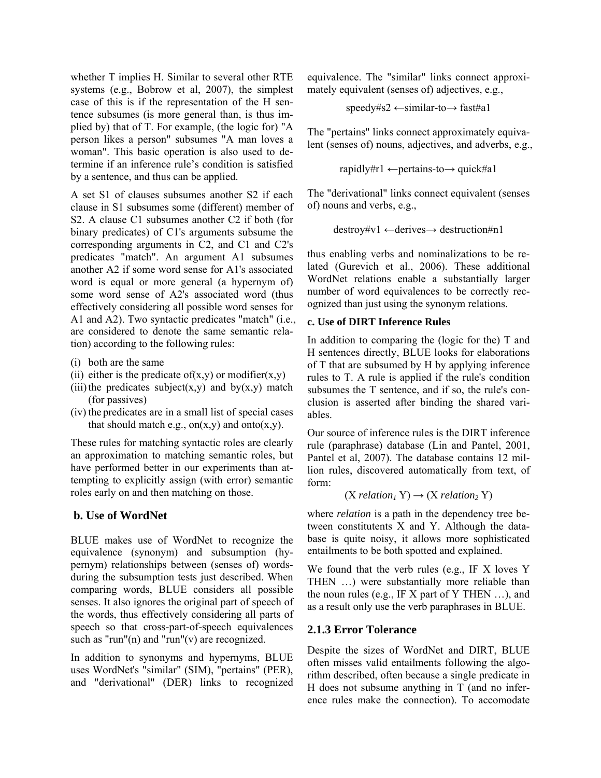whether T implies H. Similar to several other RTE systems (e.g., Bobrow et al, 2007), the simplest case of this is if the representation of the H sentence subsumes (is more general than, is thus implied by) that of T. For example, (the logic for) "A person likes a person" subsumes "A man loves a woman". This basic operation is also used to determine if an inference rule's condition is satisfied by a sentence, and thus can be applied.

A set S1 of clauses subsumes another S2 if each clause in S1 subsumes some (different) member of S2. A clause C1 subsumes another C2 if both (for binary predicates) of C1's arguments subsume the corresponding arguments in C2, and C1 and C2's predicates "match". An argument A1 subsumes another A2 if some word sense for A1's associated word is equal or more general (a hypernym of) some word sense of A2's associated word (thus effectively considering all possible word senses for A1 and A2). Two syntactic predicates "match" (i.e., are considered to denote the same semantic relation) according to the following rules:

- (i) both are the same
- (ii) either is the predicate of(x,y) or modifier(x,y)
- (iii) the predicates subject(x,y) and by(x,y) match (for passives)
- (iv) the predicates are in a small list of special cases that should match e.g., on $(x,y)$  and onto $(x,y)$ .

These rules for matching syntactic roles are clearly an approximation to matching semantic roles, but have performed better in our experiments than attempting to explicitly assign (with error) semantic roles early on and then matching on those.

### **b. Use of WordNet**

BLUE makes use of WordNet to recognize the equivalence (synonym) and subsumption (hypernym) relationships between (senses of) wordsduring the subsumption tests just described. When comparing words, BLUE considers all possible senses. It also ignores the original part of speech of the words, thus effectively considering all parts of speech so that cross-part-of-speech equivalences such as "run"(n) and "run"(v) are recognized.

In addition to synonyms and hypernyms, BLUE uses WordNet's "similar" (SIM), "pertains" (PER), and "derivational" (DER) links to recognized equivalence. The "similar" links connect approximately equivalent (senses of) adjectives, e.g.,

$$
speedy#s2 \leftarrow similar-to \rightarrow fast#a1
$$

The "pertains" links connect approximately equivalent (senses of) nouns, adjectives, and adverbs, e.g.,

$$
rapidly \#r1 \leftarrow pertains-to \rightarrow quick \#a1
$$

The "derivational" links connect equivalent (senses of) nouns and verbs, e.g.,

destroy#v1 ←derives→ destruction#n1

thus enabling verbs and nominalizations to be related (Gurevich et al., 2006). These additional WordNet relations enable a substantially larger number of word equivalences to be correctly recognized than just using the synonym relations.

#### **c. Use of DIRT Inference Rules**

In addition to comparing the (logic for the) T and H sentences directly, BLUE looks for elaborations of T that are subsumed by H by applying inference rules to T. A rule is applied if the rule's condition subsumes the T sentence, and if so, the rule's conclusion is asserted after binding the shared variables.

Our source of inference rules is the DIRT inference rule (paraphrase) database (Lin and Pantel, 2001, Pantel et al, 2007). The database contains 12 million rules, discovered automatically from text, of form:

```
(X relation<sub>1</sub> Y) \rightarrow (X relation<sub>2</sub> Y)
```
where *relation* is a path in the dependency tree between constitutents X and Y. Although the database is quite noisy, it allows more sophisticated entailments to be both spotted and explained.

We found that the verb rules (e.g., IF X loves Y THEN …) were substantially more reliable than the noun rules (e.g., IF X part of Y THEN …), and as a result only use the verb paraphrases in BLUE.

### **2.1.3 Error Tolerance**

Despite the sizes of WordNet and DIRT, BLUE often misses valid entailments following the algorithm described, often because a single predicate in H does not subsume anything in T (and no inference rules make the connection). To accomodate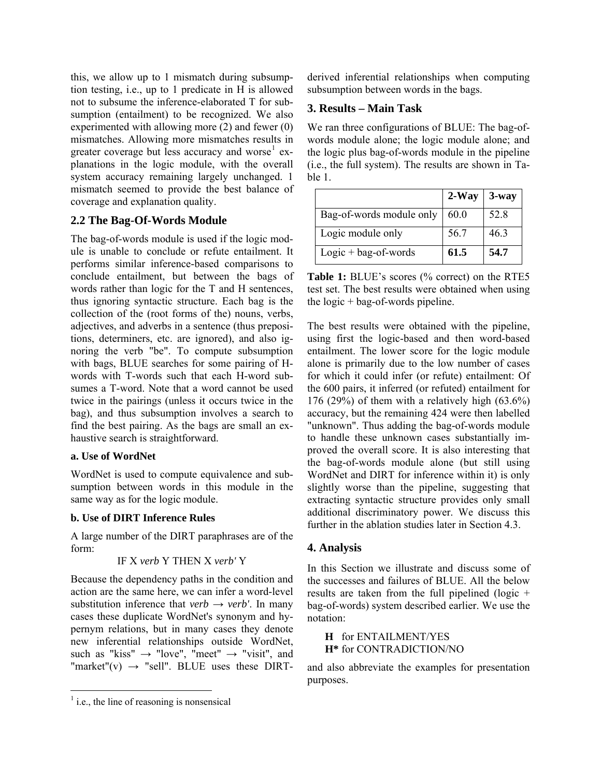this, we allow up to 1 mismatch during subsumption testing, i.e., up to 1 predicate in H is allowed not to subsume the inference-elaborated T for subsumption (entailment) to be recognized. We also experimented with allowing more (2) and fewer (0) mismatches. Allowing more mismatches results in greater coverage but less accuracy and worse<sup>[1](#page-3-0)</sup> explanations in the logic module, with the overall system accuracy remaining largely unchanged. 1 mismatch seemed to provide the best balance of coverage and explanation quality.

### **2.2 The Bag-Of-Words Module**

The bag-of-words module is used if the logic module is unable to conclude or refute entailment. It performs similar inference-based comparisons to conclude entailment, but between the bags of words rather than logic for the T and H sentences, thus ignoring syntactic structure. Each bag is the collection of the (root forms of the) nouns, verbs, adjectives, and adverbs in a sentence (thus prepositions, determiners, etc. are ignored), and also ignoring the verb "be". To compute subsumption with bags, BLUE searches for some pairing of Hwords with T-words such that each H-word subsumes a T-word. Note that a word cannot be used twice in the pairings (unless it occurs twice in the bag), and thus subsumption involves a search to find the best pairing. As the bags are small an exhaustive search is straightforward.

#### **a. Use of WordNet**

WordNet is used to compute equivalence and subsumption between words in this module in the same way as for the logic module.

### **b. Use of DIRT Inference Rules**

A large number of the DIRT paraphrases are of the form:

```
IF X verb Y THEN X verb' Y
```

```
Because the dependency paths in the condition and 
action are the same here, we can infer a word-level 
substitution inference that verb \rightarrow verb'. In many
cases these duplicate WordNet's synonym and hy-
pernym relations, but in many cases they denote 
new inferential relationships outside WordNet, 
such as "kiss" \rightarrow "love", "meet" \rightarrow "visit", and
"market"(v) \rightarrow "sell". BLUE uses these DIRT-
```
derived inferential relationships when computing subsumption between words in the bags.

# **3. Results – Main Task**

We ran three configurations of BLUE: The bag-ofwords module alone; the logic module alone; and the logic plus bag-of-words module in the pipeline (i.e., the full system). The results are shown in Table 1.

|                          | $2-Way$ | $3$ -way |
|--------------------------|---------|----------|
| Bag-of-words module only | 60.0    | 52.8     |
| Logic module only        | 56.7    | 46.3     |
| $Logic + bag-of-words$   | 61.5    | 54.7     |

**Table 1:** BLUE's scores (% correct) on the RTE5 test set. The best results were obtained when using the logic  $+$  bag-of-words pipeline.

The best results were obtained with the pipeline, using first the logic-based and then word-based entailment. The lower score for the logic module alone is primarily due to the low number of cases for which it could infer (or refute) entailment: Of the 600 pairs, it inferred (or refuted) entailment for 176 (29%) of them with a relatively high  $(63.6\%)$ accuracy, but the remaining 424 were then labelled "unknown". Thus adding the bag-of-words module to handle these unknown cases substantially improved the overall score. It is also interesting that the bag-of-words module alone (but still using WordNet and DIRT for inference within it) is only slightly worse than the pipeline, suggesting that extracting syntactic structure provides only small additional discriminatory power. We discuss this further in the ablation studies later in Section 4.3.

### **4. Analysis**

In this Section we illustrate and discuss some of the successes and failures of BLUE. All the below results are taken from the full pipelined (logic + bag-of-words) system described earlier. We use the notation:

**H** for ENTAILMENT/YES **H\*** for CONTRADICTION/NO

and also abbreviate the examples for presentation purposes.

<span id="page-3-0"></span> $<sup>1</sup>$  i.e., the line of reasoning is nonsensical</sup>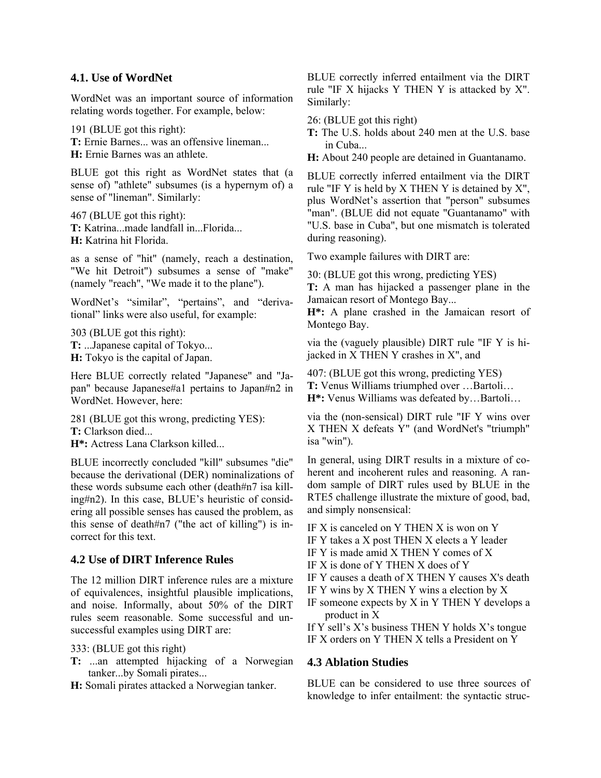#### **4.1. Use of WordNet**

WordNet was an important source of information relating words together. For example, below:

191 (BLUE got this right): **T:** Ernie Barnes... was an offensive lineman... **H:** Ernie Barnes was an athlete.

BLUE got this right as WordNet states that (a sense of) "athlete" subsumes (is a hypernym of) a sense of "lineman". Similarly:

467 (BLUE got this right): **T:** Katrina...made landfall in...Florida... **H:** Katrina hit Florida.

as a sense of "hit" (namely, reach a destination, "We hit Detroit") subsumes a sense of "make" (namely "reach", "We made it to the plane").

WordNet's "similar", "pertains", and "derivational" links were also useful, for example:

303 (BLUE got this right): **T:** ...Japanese capital of Tokyo... **H:** Tokyo is the capital of Japan.

Here BLUE correctly related "Japanese" and "Japan" because Japanese#a1 pertains to Japan#n2 in WordNet. However, here:

281 (BLUE got this wrong, predicting YES): **T:** Clarkson died... **H\*:** Actress Lana Clarkson killed...

BLUE incorrectly concluded "kill" subsumes "die" because the derivational (DER) nominalizations of these words subsume each other (death#n7 isa killing#n2). In this case, BLUE's heuristic of considering all possible senses has caused the problem, as this sense of death#n7 ("the act of killing") is incorrect for this text.

### **4.2 Use of DIRT Inference Rules**

The 12 million DIRT inference rules are a mixture of equivalences, insightful plausible implications, and noise. Informally, about 50% of the DIRT rules seem reasonable. Some successful and unsuccessful examples using DIRT are:

333: (BLUE got this right)

**T:** ...an attempted hijacking of a Norwegian tanker...by Somali pirates...

**H:** Somali pirates attacked a Norwegian tanker.

BLUE correctly inferred entailment via the DIRT rule "IF X hijacks Y THEN Y is attacked by X". Similarly:

26: (BLUE got this right)

**T:** The U.S. holds about 240 men at the U.S. base in Cuba...

**H:** About 240 people are detained in Guantanamo.

BLUE correctly inferred entailment via the DIRT rule "IF Y is held by X THEN Y is detained by X", plus WordNet's assertion that "person" subsumes "man". (BLUE did not equate "Guantanamo" with "U.S. base in Cuba", but one mismatch is tolerated during reasoning).

Two example failures with DIRT are:

30: (BLUE got this wrong, predicting YES)

**T:** A man has hijacked a passenger plane in the Jamaican resort of Montego Bay...

**H\*:** A plane crashed in the Jamaican resort of Montego Bay.

via the (vaguely plausible) DIRT rule "IF Y is hijacked in X THEN Y crashes in X", and

407: (BLUE got this wrong, predicting YES) **T:** Venus Williams triumphed over …Bartoli… **H\*:** Venus Williams was defeated by…Bartoli…

via the (non-sensical) DIRT rule "IF Y wins over X THEN X defeats Y" (and WordNet's "triumph" isa "win").

In general, using DIRT results in a mixture of coherent and incoherent rules and reasoning. A random sample of DIRT rules used by BLUE in the RTE5 challenge illustrate the mixture of good, bad, and simply nonsensical:

IF X is canceled on Y THEN X is won on Y

IF Y takes a X post THEN X elects a Y leader

- IF Y is made amid X THEN Y comes of X
- IF X is done of Y THEN X does of Y
- IF Y causes a death of X THEN Y causes X's death
- IF Y wins by X THEN Y wins a election by X
- IF someone expects by  $X$  in  $Y$  THEN  $Y$  develops a product in X

If Y sell's X's business THEN Y holds X's tongue IF X orders on Y THEN X tells a President on Y

### **4.3 Ablation Studies**

BLUE can be considered to use three sources of knowledge to infer entailment: the syntactic struc-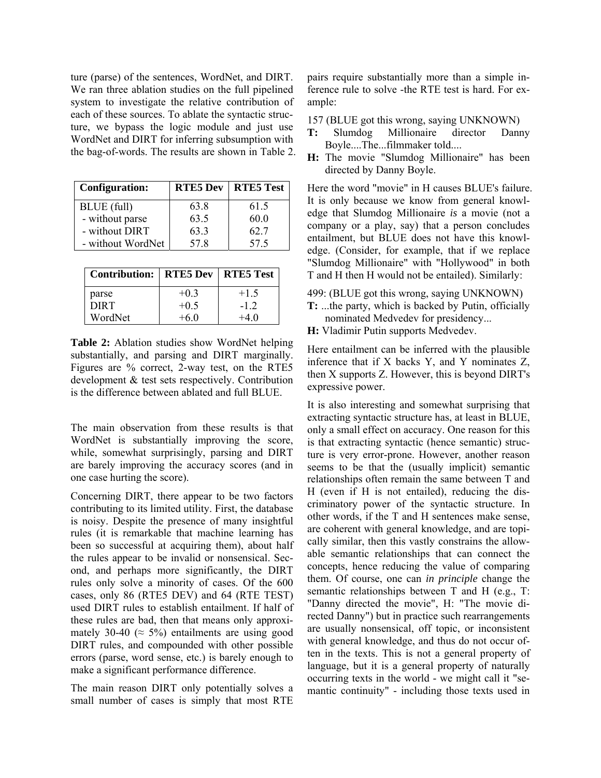ture (parse) of the sentences, WordNet, and DIRT. We ran three ablation studies on the full pipelined system to investigate the relative contribution of each of these sources. To ablate the syntactic structure, we bypass the logic module and just use WordNet and DIRT for inferring subsumption with the bag-of-words. The results are shown in Table 2.

| <b>Configuration:</b> | <b>RTE5 Dev</b> | <b>RTE5 Test</b> |
|-----------------------|-----------------|------------------|
| BLUE (full)           | 63.8            | 61.5             |
| - without parse       | 63.5            | 60.0             |
| - without DIRT        | 63.3            | 62.7             |
| - without WordNet     | 578             | 57.5             |

| <b>Contribution:   RTE5 Dev</b> |        | <b>RTE5 Test</b> |
|---------------------------------|--------|------------------|
| parse                           | $+0.3$ | $+1.5$           |
| <b>DIRT</b>                     | $+0.5$ | $-12$            |
| WordNet                         | +6 ()  | -4 ()            |

**Table 2:** Ablation studies show WordNet helping substantially, and parsing and DIRT marginally. Figures are % correct, 2-way test, on the RTE5 development & test sets respectively. Contribution is the difference between ablated and full BLUE.

The main observation from these results is that WordNet is substantially improving the score, while, somewhat surprisingly, parsing and DIRT are barely improving the accuracy scores (and in one case hurting the score).

Concerning DIRT, there appear to be two factors contributing to its limited utility. First, the database is noisy. Despite the presence of many insightful rules (it is remarkable that machine learning has been so successful at acquiring them), about half the rules appear to be invalid or nonsensical. Second, and perhaps more significantly, the DIRT rules only solve a minority of cases. Of the 600 cases, only 86 (RTE5 DEV) and 64 (RTE TEST) used DIRT rules to establish entailment. If half of these rules are bad, then that means only approximately 30-40 ( $\approx$  5%) entailments are using good DIRT rules, and compounded with other possible errors (parse, word sense, etc.) is barely enough to make a significant performance difference.

The main reason DIRT only potentially solves a small number of cases is simply that most RTE pairs require substantially more than a simple inference rule to solve -the RTE test is hard. For example:

- 157 (BLUE got this wrong, saying UNKNOWN)
- **T:** Slumdog Millionaire director Danny Boyle....The...filmmaker told....
- **H:** The movie "Slumdog Millionaire" has been directed by Danny Boyle.

Here the word "movie" in H causes BLUE's failure. It is only because we know from general knowledge that Slumdog Millionaire *is* a movie (not a company or a play, say) that a person concludes entailment, but BLUE does not have this knowledge. (Consider, for example, that if we replace "Slumdog Millionaire" with "Hollywood" in both T and H then H would not be entailed). Similarly:

- 499: (BLUE got this wrong, saying UNKNOWN)
- **T:** ...the party, which is backed by Putin, officially nominated Medvedev for presidency...
- **H:** Vladimir Putin supports Medvedev.

Here entailment can be inferred with the plausible inference that if X backs Y, and Y nominates Z, then X supports Z. However, this is beyond DIRT's expressive power.

It is also interesting and somewhat surprising that extracting syntactic structure has, at least in BLUE, only a small effect on accuracy. One reason for this is that extracting syntactic (hence semantic) structure is very error-prone. However, another reason seems to be that the (usually implicit) semantic relationships often remain the same between T and H (even if H is not entailed), reducing the discriminatory power of the syntactic structure. In other words, if the T and H sentences make sense, are coherent with general knowledge, and are topically similar, then this vastly constrains the allowable semantic relationships that can connect the concepts, hence reducing the value of comparing them. Of course, one can *in principle* change the semantic relationships between T and H (e.g., T: "Danny directed the movie", H: "The movie directed Danny") but in practice such rearrangements are usually nonsensical, off topic, or inconsistent with general knowledge, and thus do not occur often in the texts. This is not a general property of language, but it is a general property of naturally occurring texts in the world - we might call it "semantic continuity" - including those texts used in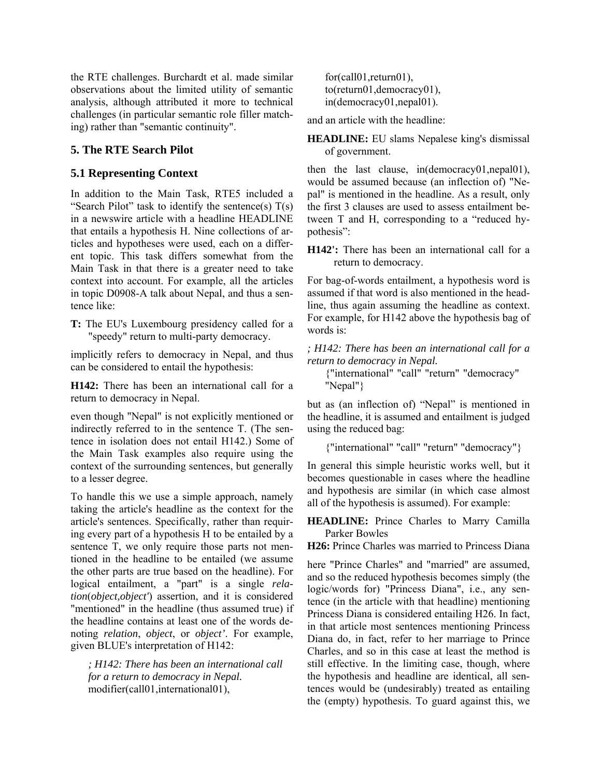the RTE challenges. Burchardt et al. made similar observations about the limited utility of semantic analysis, although attributed it more to technical challenges (in particular semantic role filler matching) rather than "semantic continuity".

# **5. The RTE Search Pilot**

# **5.1 Representing Context**

In addition to the Main Task, RTE5 included a "Search Pilot" task to identify the sentence(s)  $T(s)$ in a newswire article with a headline HEADLINE that entails a hypothesis H. Nine collections of articles and hypotheses were used, each on a different topic. This task differs somewhat from the Main Task in that there is a greater need to take context into account. For example, all the articles in topic D0908-A talk about Nepal, and thus a sentence like:

**T:** The EU's Luxembourg presidency called for a "speedy" return to multi-party democracy.

implicitly refers to democracy in Nepal, and thus can be considered to entail the hypothesis:

**H142:** There has been an international call for a return to democracy in Nepal.

even though "Nepal" is not explicitly mentioned or indirectly referred to in the sentence T. (The sentence in isolation does not entail H142.) Some of the Main Task examples also require using the context of the surrounding sentences, but generally to a lesser degree.

To handle this we use a simple approach, namely taking the article's headline as the context for the article's sentences. Specifically, rather than requiring every part of a hypothesis H to be entailed by a sentence T, we only require those parts not mentioned in the headline to be entailed (we assume the other parts are true based on the headline). For logical entailment, a "part" is a single *relation*(*object,object'*) assertion, and it is considered "mentioned" in the headline (thus assumed true) if the headline contains at least one of the words denoting *relation*, *object*, or *object'*. For example, given BLUE's interpretation of H142:

*; H142: There has been an international call for a return to democracy in Nepal.*  modifier(call01,international01),

for(call01,return01), to(return01,democracy01), in(democracy01,nepal01).

and an article with the headline:

**HEADLINE:** EU slams Nepalese king's dismissal of government.

then the last clause, in(democracy01,nepal01), would be assumed because (an inflection of) "Nepal" is mentioned in the headline. As a result, only the first 3 clauses are used to assess entailment between T and H, corresponding to a "reduced hypothesis":

**H142':** There has been an international call for a return to democracy.

For bag-of-words entailment, a hypothesis word is assumed if that word is also mentioned in the headline, thus again assuming the headline as context. For example, for H142 above the hypothesis bag of words is:

*; H142: There has been an international call for a return to democracy in Nepal.* 

{"international" "call" "return" "democracy" "Nepal"}

but as (an inflection of) "Nepal" is mentioned in the headline, it is assumed and entailment is judged using the reduced bag:

{"international" "call" "return" "democracy"}

In general this simple heuristic works well, but it becomes questionable in cases where the headline and hypothesis are similar (in which case almost all of the hypothesis is assumed). For example:

**HEADLINE:** Prince Charles to Marry Camilla Parker Bowles

**H26:** Prince Charles was married to Princess Diana

here "Prince Charles" and "married" are assumed, and so the reduced hypothesis becomes simply (the logic/words for) "Princess Diana", i.e., any sentence (in the article with that headline) mentioning Princess Diana is considered entailing H26. In fact, in that article most sentences mentioning Princess Diana do, in fact, refer to her marriage to Prince Charles, and so in this case at least the method is still effective. In the limiting case, though, where the hypothesis and headline are identical, all sentences would be (undesirably) treated as entailing the (empty) hypothesis. To guard against this, we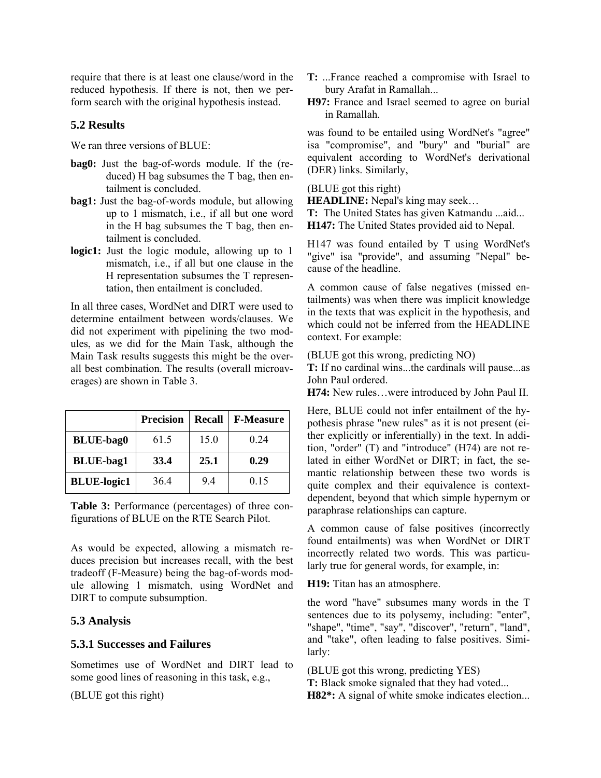require that there is at least one clause/word in the reduced hypothesis. If there is not, then we perform search with the original hypothesis instead.

# **5.2 Results**

We ran three versions of BLUE:

- **bag0:** Just the bag-of-words module. If the (reduced) H bag subsumes the T bag, then entailment is concluded.
- **bag1:** Just the bag-of-words module, but allowing up to 1 mismatch, i.e., if all but one word in the H bag subsumes the T bag, then entailment is concluded.
- **logic1:** Just the logic module, allowing up to 1 mismatch, i.e., if all but one clause in the H representation subsumes the T representation, then entailment is concluded.

In all three cases, WordNet and DIRT were used to determine entailment between words/clauses. We did not experiment with pipelining the two modules, as we did for the Main Task, although the Main Task results suggests this might be the overall best combination. The results (overall microaverages) are shown in Table 3.

|                    | <b>Precision</b> | <b>Recall</b> | <b>F-Measure</b> |
|--------------------|------------------|---------------|------------------|
| <b>BLUE-bag0</b>   | 61.5             | 15.0          | 0.24             |
| <b>BLUE-bag1</b>   | 33.4             | 25.1          | 0.29             |
| <b>BLUE-logic1</b> | 364              | 94            | 0.15             |

**Table 3:** Performance (percentages) of three configurations of BLUE on the RTE Search Pilot.

As would be expected, allowing a mismatch reduces precision but increases recall, with the best tradeoff (F-Measure) being the bag-of-words module allowing 1 mismatch, using WordNet and DIRT to compute subsumption.

### **5.3 Analysis**

### **5.3.1 Successes and Failures**

Sometimes use of WordNet and DIRT lead to some good lines of reasoning in this task, e.g.,

(BLUE got this right)

- **T:** ...France reached a compromise with Israel to bury Arafat in Ramallah...
- **H97:** France and Israel seemed to agree on burial in Ramallah.

was found to be entailed using WordNet's "agree" isa "compromise", and "bury" and "burial" are equivalent according to WordNet's derivational (DER) links. Similarly,

#### (BLUE got this right)

**HEADLINE:** Nepal's king may seek...

**T:** The United States has given Katmandu ...aid... **H147:** The United States provided aid to Nepal.

H147 was found entailed by T using WordNet's "give" isa "provide", and assuming "Nepal" because of the headline.

A common cause of false negatives (missed entailments) was when there was implicit knowledge in the texts that was explicit in the hypothesis, and which could not be inferred from the HEADLINE context. For example:

(BLUE got this wrong, predicting NO)

**T:** If no cardinal wins...the cardinals will pause...as John Paul ordered.

**H74:** New rules…were introduced by John Paul II.

Here, BLUE could not infer entailment of the hypothesis phrase "new rules" as it is not present (either explicitly or inferentially) in the text. In addition, "order" (T) and "introduce" (H74) are not related in either WordNet or DIRT; in fact, the semantic relationship between these two words is quite complex and their equivalence is contextdependent, beyond that which simple hypernym or paraphrase relationships can capture.

A common cause of false positives (incorrectly found entailments) was when WordNet or DIRT incorrectly related two words. This was particularly true for general words, for example, in:

**H19:** Titan has an atmosphere.

the word "have" subsumes many words in the T sentences due to its polysemy, including: "enter", "shape", "time", "say", "discover", "return", "land", and "take", often leading to false positives. Similarly:

(BLUE got this wrong, predicting YES) **T:** Black smoke signaled that they had voted... **H82\*:** A signal of white smoke indicates election...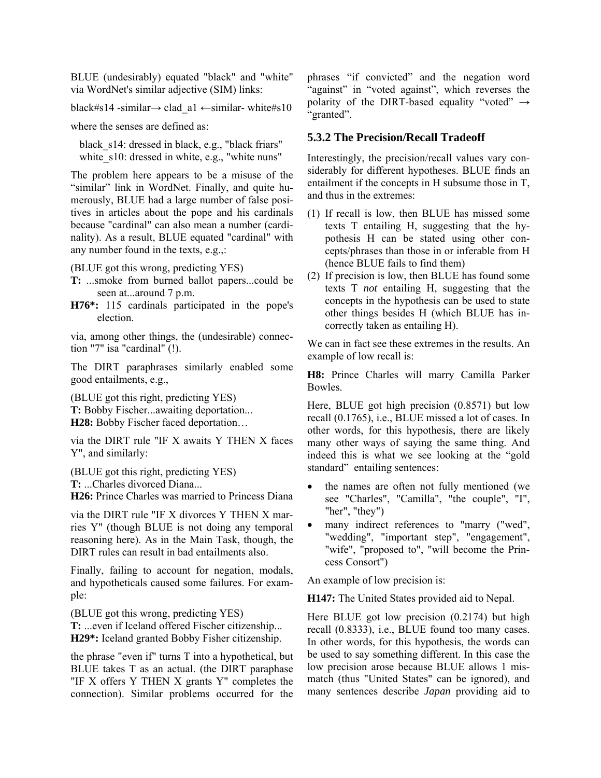BLUE (undesirably) equated "black" and "white" via WordNet's similar adjective (SIM) links:

black#s14 -similar→ clad\_a1 ←similar- white#s10

where the senses are defined as:

black s14: dressed in black, e.g., "black friars" white s10: dressed in white, e.g., "white nuns"

The problem here appears to be a misuse of the "similar" link in WordNet. Finally, and quite humerously, BLUE had a large number of false positives in articles about the pope and his cardinals because "cardinal" can also mean a number (cardinality). As a result, BLUE equated "cardinal" with any number found in the texts, e.g.,:

(BLUE got this wrong, predicting YES)

- **T:** ...smoke from burned ballot papers...could be seen at...around 7 p.m.
- **H76\*:** 115 cardinals participated in the pope's election.

via, among other things, the (undesirable) connection "7" isa "cardinal" (!).

The DIRT paraphrases similarly enabled some good entailments, e.g.,

(BLUE got this right, predicting YES) **T:** Bobby Fischer...awaiting deportation... **H28:** Bobby Fischer faced deportation…

via the DIRT rule "IF X awaits Y THEN X faces Y", and similarly:

(BLUE got this right, predicting YES) **T:** ...Charles divorced Diana...

**H26:** Prince Charles was married to Princess Diana

via the DIRT rule "IF X divorces Y THEN X marries Y" (though BLUE is not doing any temporal reasoning here). As in the Main Task, though, the DIRT rules can result in bad entailments also.

Finally, failing to account for negation, modals, and hypotheticals caused some failures. For example:

(BLUE got this wrong, predicting YES) **T:** ...even if Iceland offered Fischer citizenship... **H29\*:** Iceland granted Bobby Fisher citizenship.

the phrase "even if" turns T into a hypothetical, but BLUE takes T as an actual. (the DIRT paraphase "IF X offers Y THEN X grants Y" completes the connection). Similar problems occurred for the phrases "if convicted" and the negation word "against" in "voted against", which reverses the polarity of the DIRT-based equality "voted"  $\rightarrow$ "granted".

#### **5.3.2 The Precision/Recall Tradeoff**

Interestingly, the precision/recall values vary considerably for different hypotheses. BLUE finds an entailment if the concepts in H subsume those in T, and thus in the extremes:

- (1) If recall is low, then BLUE has missed some texts T entailing H, suggesting that the hypothesis H can be stated using other concepts/phrases than those in or inferable from H (hence BLUE fails to find them)
- (2) If precision is low, then BLUE has found some texts T *not* entailing H, suggesting that the concepts in the hypothesis can be used to state other things besides H (which BLUE has incorrectly taken as entailing H).

We can in fact see these extremes in the results. An example of low recall is:

**H8:** Prince Charles will marry Camilla Parker Bowles.

Here, BLUE got high precision (0.8571) but low recall (0.1765), i.e., BLUE missed a lot of cases. In other words, for this hypothesis, there are likely many other ways of saying the same thing. And indeed this is what we see looking at the "gold standard" entailing sentences:

- the names are often not fully mentioned (we see "Charles", "Camilla", "the couple", "I", "her", "they")
- many indirect references to "marry ("wed", "wedding", "important step", "engagement", "wife", "proposed to", "will become the Princess Consort")

An example of low precision is:

**H147:** The United States provided aid to Nepal.

Here BLUE got low precision (0.2174) but high recall (0.8333), i.e., BLUE found too many cases. In other words, for this hypothesis, the words can be used to say something different. In this case the low precision arose because BLUE allows 1 mismatch (thus "United States" can be ignored), and many sentences describe *Japan* providing aid to